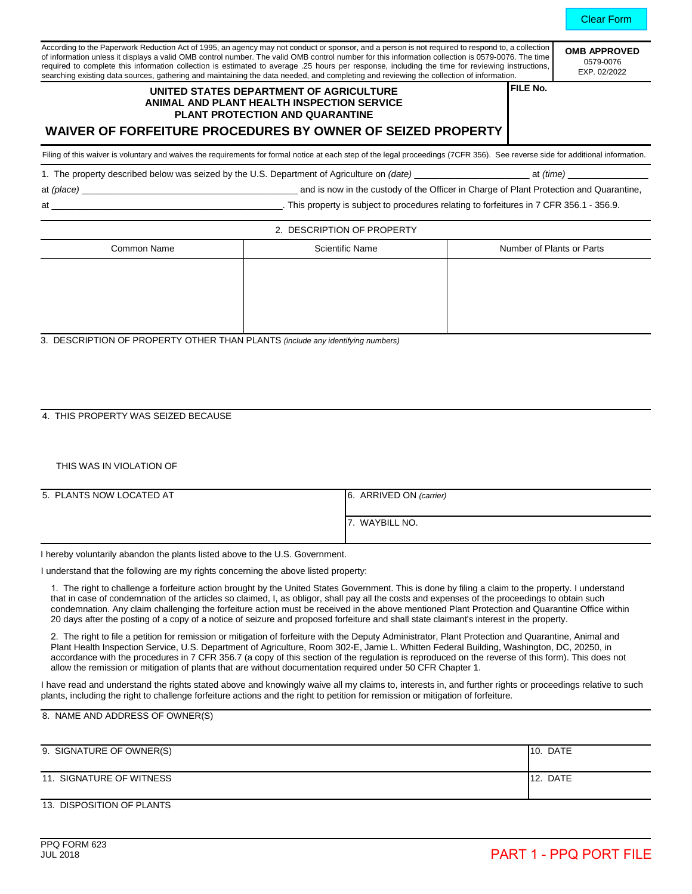**ROVED** 0579-0076  $2/2022$ 

| According to the Paperwork Reduction Act of 1995, an agency may not conduct or sponsor, and a person is not required to respond to, a collection  | <b>OMB APF</b> |
|---------------------------------------------------------------------------------------------------------------------------------------------------|----------------|
| of information unless it displays a valid OMB control number. The valid OMB control number for this information collection is 0579-0076. The time | 0579-          |
| required to complete this information collection is estimated to average .25 hours per response, including the time for reviewing instructions, I |                |
| searching existing data sources, gathering and maintaining the data needed, and completing and reviewing the collection of information.           | EXP. 02        |

# **UNITED STATES DEPARTMENT OF AGRICULTURE ANIMAL AND PLANT HEALTH INSPECTION SERVICE PLANT PROTECTION AND QUARANTINE**

**FILE No.**

# **WAIVER OF FORFEITURE PROCEDURES BY OWNER OF SEIZED PROPERTY**

Filing of this waiver is voluntary and waives the requirements for formal notice at each step of the legal proceedings (7CFR 356). See reverse side for additional information.

1. The property described below was seized by the U.S. Department of Agriculture on *(date)* \_\_\_\_\_\_\_\_\_\_\_\_\_\_\_\_\_\_\_\_\_\_\_ at *(time)* \_\_\_\_\_\_\_\_\_\_\_\_\_\_\_\_

at *(place)* \_\_\_\_\_\_\_\_\_\_\_\_\_\_\_\_\_\_\_\_\_\_\_\_\_\_\_\_\_\_\_\_\_\_\_\_\_\_\_\_\_\_\_ and is now in the custody of the Officer in Charge of Plant Protection and Quarantine,

at \_\_\_\_\_\_\_\_\_\_\_\_\_\_\_\_\_\_\_\_\_\_\_\_\_\_\_\_\_\_\_\_\_\_\_\_\_\_\_\_\_\_\_\_\_\_. This property is subject to procedures relating to forfeitures in 7 CFR 356.1 - 356.9.

#### 2. DESCRIPTION OF PROPERTY

| Common Name | <b>Scientific Name</b> | Number of Plants or Parts |
|-------------|------------------------|---------------------------|
|             |                        |                           |
|             |                        |                           |
|             |                        |                           |
|             |                        |                           |

3. DESCRIPTION OF PROPERTY OTHER THAN PLANTS *(include any identifying numbers)*

## 4. THIS PROPERTY WAS SEIZED BECAUSE

### THIS WAS IN VIOLATION OF

| 5. PLANTS NOW LOCATED AT | 6. ARRIVED ON (carrier) |
|--------------------------|-------------------------|
|                          | 7. WAYBILL NO.          |

I hereby voluntarily abandon the plants listed above to the U.S. Government.

I understand that the following are my rights concerning the above listed property:

1. The right to challenge a forfeiture action brought by the United States Government. This is done by filing a claim to the property. I understand that in case of condemnation of the articles so claimed, I, as obligor, shall pay all the costs and expenses of the proceedings to obtain such condemnation. Any claim challenging the forfeiture action must be received in the above mentioned Plant Protection and Quarantine Office within 20 days after the posting of a copy of a notice of seizure and proposed forfeiture and shall state claimant's interest in the property.

2. The right to file a petition for remission or mitigation of forfeiture with the Deputy Administrator, Plant Protection and Quarantine, Animal and Plant Health Inspection Service, U.S. Department of Agriculture, Room 302-E, Jamie L. Whitten Federal Building, Washington, DC, 20250, in accordance with the procedures in 7 CFR 356.7 (a copy of this section of the regulation is reproduced on the reverse of this form). This does not allow the remission or mitigation of plants that are without documentation required under 50 CFR Chapter 1.

I have read and understand the rights stated above and knowingly waive all my claims to, interests in, and further rights or proceedings relative to such plants, including the right to challenge forfeiture actions and the right to petition for remission or mitigation of forfeiture.

8. NAME AND ADDRESS OF OWNER(S)

| 9. SIGNATURE OF OWNER(S) | <b>DATE</b><br>110. |
|--------------------------|---------------------|
| 11. SIGNATURE OF WITNESS | <b>DATE</b><br>112. |

### 13. DISPOSITION OF PLANTS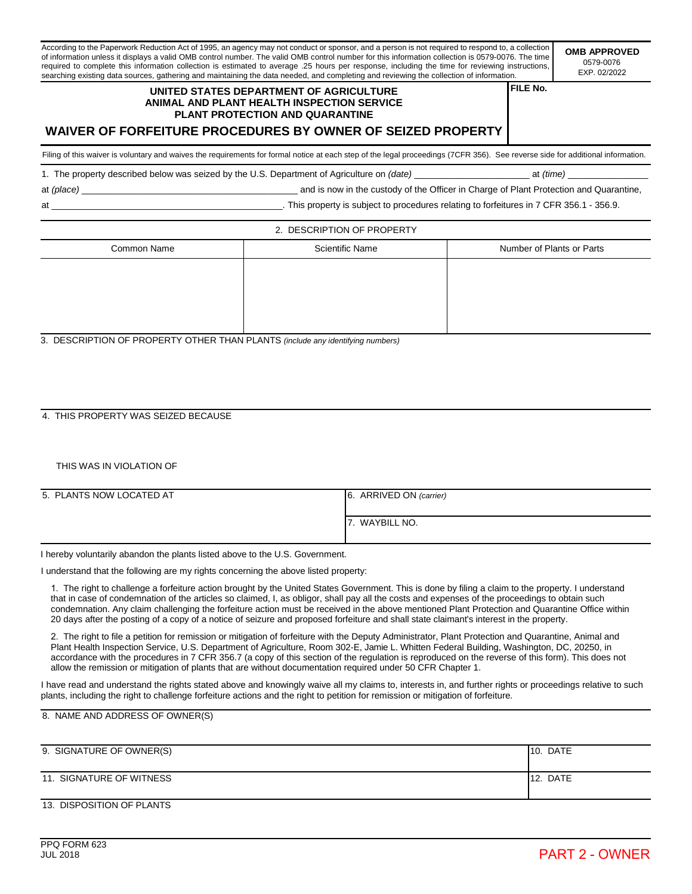According to the Paperwork Reduction Act of 1995, an agency may not conduct or sponsor, and a person is not required to respond to, a collection of information unless it displays a valid OMB control number. The valid OMB control number for this information collection is 0579-0076. The time required to complete this information collection is estimated to average .25 hours per response, including the time for reviewing instructions, searching existing data sources, gathering and maintaining the data needed, and completing and reviewing the collection of information. **OMB APPROVED**

# **UNITED STATES DEPARTMENT OF AGRICULTURE ANIMAL AND PLANT HEALTH INSPECTION SERVICE PLANT PROTECTION AND QUARANTINE**

**FILE No.**

0579-0076 EXP. 02/2022

# **WAIVER OF FORFEITURE PROCEDURES BY OWNER OF SEIZED PROPERTY**

Filing of this waiver is voluntary and waives the requirements for formal notice at each step of the legal proceedings (7CFR 356). See reverse side for additional information.

1. The property described below was seized by the U.S. Department of Agriculture on *(date)* \_\_\_\_\_\_\_\_\_\_\_\_\_\_\_\_\_\_\_\_\_\_\_ at *(time)* \_\_\_\_\_\_\_\_\_\_\_\_\_\_\_\_

at *(place)* \_\_\_\_\_\_\_\_\_\_\_\_\_\_\_\_\_\_\_\_\_\_\_\_\_\_\_\_\_\_\_\_\_\_\_\_\_\_\_\_\_\_\_ and is now in the custody of the Officer in Charge of Plant Protection and Quarantine,

at \_\_\_\_\_\_\_\_\_\_\_\_\_\_\_\_\_\_\_\_\_\_\_\_\_\_\_\_\_\_\_\_\_\_\_\_\_\_\_\_\_\_\_\_\_\_. This property is subject to procedures relating to forfeitures in 7 CFR 356.1 - 356.9.

#### 2. DESCRIPTION OF PROPERTY

| Common Name | <b>Scientific Name</b> | Number of Plants or Parts |
|-------------|------------------------|---------------------------|
|             |                        |                           |
|             |                        |                           |
|             |                        |                           |
|             |                        |                           |

3. DESCRIPTION OF PROPERTY OTHER THAN PLANTS *(include any identifying numbers)*

### 4. THIS PROPERTY WAS SEIZED BECAUSE

## THIS WAS IN VIOLATION OF

| 5. PLANTS NOW LOCATED AT | 6. ARRIVED ON (carrier) |
|--------------------------|-------------------------|
|                          | 7. WAYBILL NO.          |

I hereby voluntarily abandon the plants listed above to the U.S. Government.

I understand that the following are my rights concerning the above listed property:

1. The right to challenge a forfeiture action brought by the United States Government. This is done by filing a claim to the property. I understand that in case of condemnation of the articles so claimed, I, as obligor, shall pay all the costs and expenses of the proceedings to obtain such condemnation. Any claim challenging the forfeiture action must be received in the above mentioned Plant Protection and Quarantine Office within 20 days after the posting of a copy of a notice of seizure and proposed forfeiture and shall state claimant's interest in the property.

2. The right to file a petition for remission or mitigation of forfeiture with the Deputy Administrator, Plant Protection and Quarantine, Animal and Plant Health Inspection Service, U.S. Department of Agriculture, Room 302-E, Jamie L. Whitten Federal Building, Washington, DC, 20250, in accordance with the procedures in 7 CFR 356.7 (a copy of this section of the regulation is reproduced on the reverse of this form). This does not allow the remission or mitigation of plants that are without documentation required under 50 CFR Chapter 1.

I have read and understand the rights stated above and knowingly waive all my claims to, interests in, and further rights or proceedings relative to such plants, including the right to challenge forfeiture actions and the right to petition for remission or mitigation of forfeiture.

8. NAME AND ADDRESS OF OWNER(S)

| 9. SIGNATURE OF OWNER(S) | <b>DATE</b><br>110. |
|--------------------------|---------------------|
| 11. SIGNATURE OF WITNESS | <b>DATE</b><br>112. |

# 13. DISPOSITION OF PLANTS